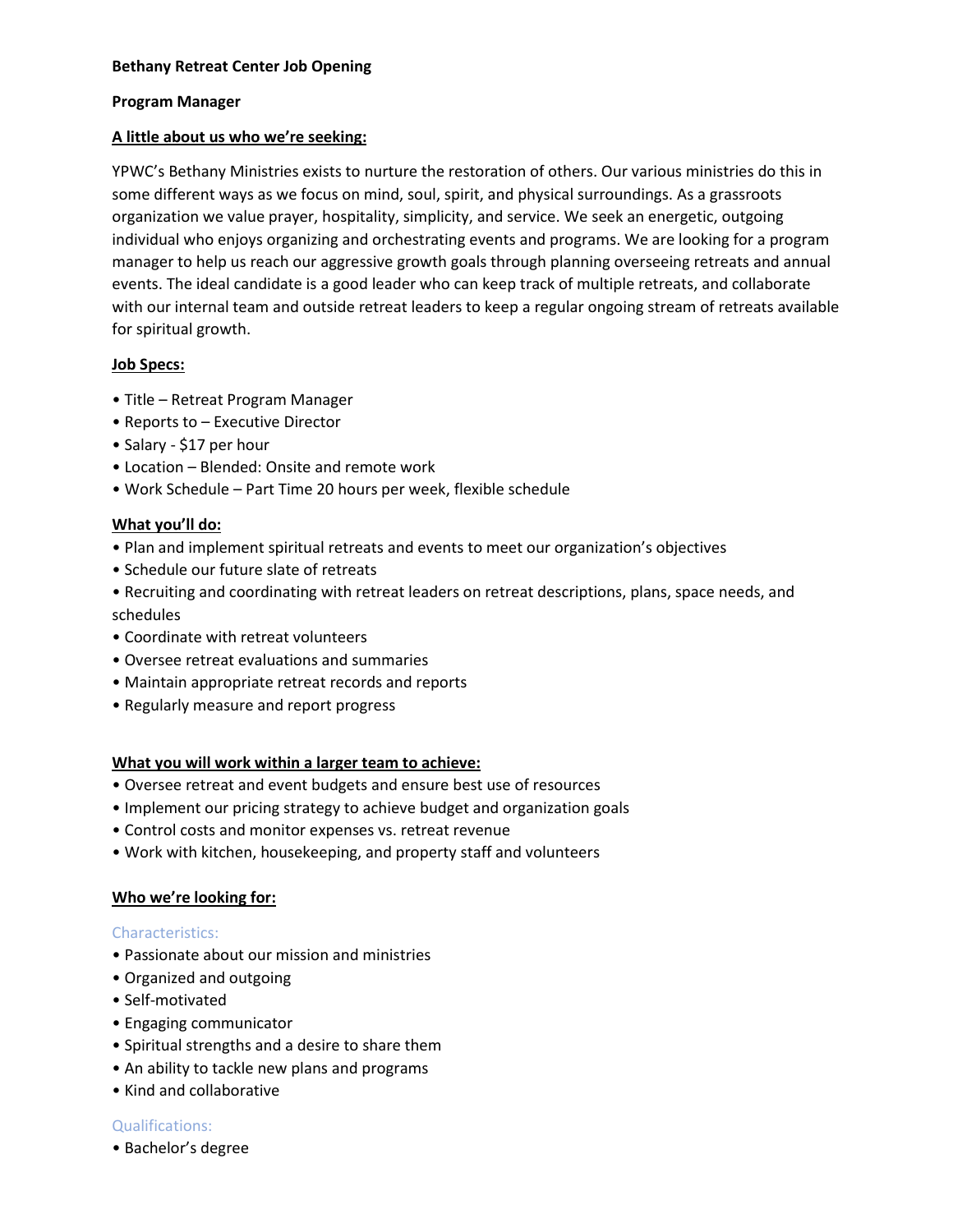## **Program Manager**

## **A little about us who we're seeking:**

YPWC's Bethany Ministries exists to nurture the restoration of others. Our various ministries do this in some different ways as we focus on mind, soul, spirit, and physical surroundings. As a grassroots organization we value prayer, hospitality, simplicity, and service. We seek an energetic, outgoing individual who enjoys organizing and orchestrating events and programs. We are looking for a program manager to help us reach our aggressive growth goals through planning overseeing retreats and annual events. The ideal candidate is a good leader who can keep track of multiple retreats, and collaborate with our internal team and outside retreat leaders to keep a regular ongoing stream of retreats available for spiritual growth.

# **Job Specs:**

- Title Retreat Program Manager
- Reports to Executive Director
- Salary \$17 per hour
- Location Blended: Onsite and remote work
- Work Schedule Part Time 20 hours per week, flexible schedule

## **What you'll do:**

- Plan and implement spiritual retreats and events to meet our organization's objectives
- Schedule our future slate of retreats
- Recruiting and coordinating with retreat leaders on retreat descriptions, plans, space needs, and schedules
- Coordinate with retreat volunteers
- Oversee retreat evaluations and summaries
- Maintain appropriate retreat records and reports
- Regularly measure and report progress

# **What you will work within a larger team to achieve:**

- Oversee retreat and event budgets and ensure best use of resources
- Implement our pricing strategy to achieve budget and organization goals
- Control costs and monitor expenses vs. retreat revenue
- Work with kitchen, housekeeping, and property staff and volunteers

## **Who we're looking for:**

## Characteristics:

- Passionate about our mission and ministries
- Organized and outgoing
- Self-motivated
- Engaging communicator
- Spiritual strengths and a desire to share them
- An ability to tackle new plans and programs
- Kind and collaborative

## Qualifications:

• Bachelor's degree